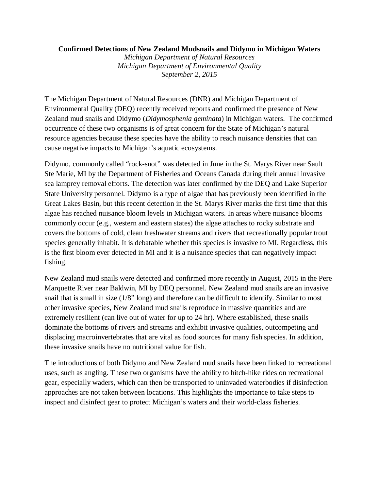## **Confirmed Detections of New Zealand Mudsnails and Didymo in Michigan Waters**

*Michigan Department of Natural Resources Michigan Department of Environmental Quality September 2, 2015*

The Michigan Department of Natural Resources (DNR) and Michigan Department of Environmental Quality (DEQ) recently received reports and confirmed the presence of New Zealand mud snails and Didymo (*Didymosphenia geminata*) in Michigan waters. The confirmed occurrence of these two organisms is of great concern for the State of Michigan's natural resource agencies because these species have the ability to reach nuisance densities that can cause negative impacts to Michigan's aquatic ecosystems.

Didymo, commonly called "rock-snot" was detected in June in the St. Marys River near Sault Ste Marie, MI by the Department of Fisheries and Oceans Canada during their annual invasive sea lamprey removal efforts. The detection was later confirmed by the DEQ and Lake Superior State University personnel. Didymo is a type of algae that has previously been identified in the Great Lakes Basin, but this recent detection in the St. Marys River marks the first time that this algae has reached nuisance bloom levels in Michigan waters. In areas where nuisance blooms commonly occur (e.g., western and eastern states) the algae attaches to rocky substrate and covers the bottoms of cold, clean freshwater streams and rivers that recreationally popular trout species generally inhabit. It is debatable whether this species is invasive to MI. Regardless, this is the first bloom ever detected in MI and it is a nuisance species that can negatively impact fishing.

New Zealand mud snails were detected and confirmed more recently in August, 2015 in the Pere Marquette River near Baldwin, MI by DEQ personnel. New Zealand mud snails are an invasive snail that is small in size (1/8" long) and therefore can be difficult to identify. Similar to most other invasive species, New Zealand mud snails reproduce in massive quantities and are extremely resilient (can live out of water for up to 24 hr). Where established, these snails dominate the bottoms of rivers and streams and exhibit invasive qualities, outcompeting and displacing macroinvertebrates that are vital as food sources for many fish species. In addition, these invasive snails have no nutritional value for fish.

The introductions of both Didymo and New Zealand mud snails have been linked to recreational uses, such as angling. These two organisms have the ability to hitch-hike rides on recreational gear, especially waders, which can then be transported to uninvaded waterbodies if disinfection approaches are not taken between locations. This highlights the importance to take steps to inspect and disinfect gear to protect Michigan's waters and their world-class fisheries.